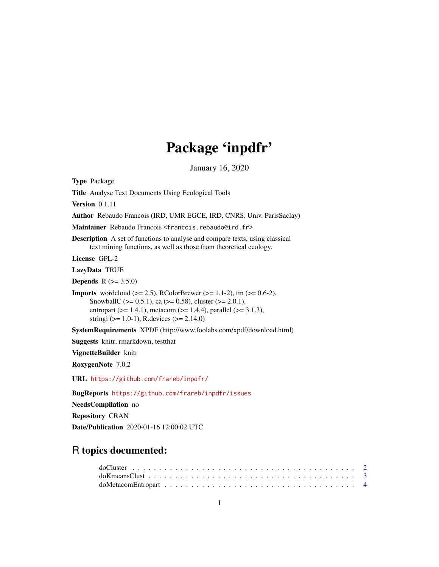# Package 'inpdfr'

January 16, 2020

<span id="page-0-0"></span>Type Package Title Analyse Text Documents Using Ecological Tools Version 0.1.11 Author Rebaudo Francois (IRD, UMR EGCE, IRD, CNRS, Univ. ParisSaclay) Maintainer Rebaudo Francois <francois.rebaudo@ird.fr> Description A set of functions to analyse and compare texts, using classical text mining functions, as well as those from theoretical ecology. License GPL-2 LazyData TRUE **Depends** R  $(>= 3.5.0)$ **Imports** wordcloud ( $>= 2.5$ ), RColorBrewer ( $>= 1.1-2$ ), tm ( $>= 0.6-2$ ), SnowballC ( $>= 0.5.1$ ), ca ( $>= 0.58$ ), cluster ( $>= 2.0.1$ ), entropart ( $>= 1.4.1$ ), metacom ( $>= 1.4.4$ ), parallel ( $>= 3.1.3$ ), stringi ( $> = 1.0-1$ ), R.devices ( $> = 2.14.0$ ) SystemRequirements XPDF (http://www.foolabs.com/xpdf/download.html) Suggests knitr, rmarkdown, testthat VignetteBuilder knitr RoxygenNote 7.0.2 URL <https://github.com/frareb/inpdfr/> BugReports <https://github.com/frareb/inpdfr/issues> NeedsCompilation no

Repository CRAN Date/Publication 2020-01-16 12:00:02 UTC

# R topics documented: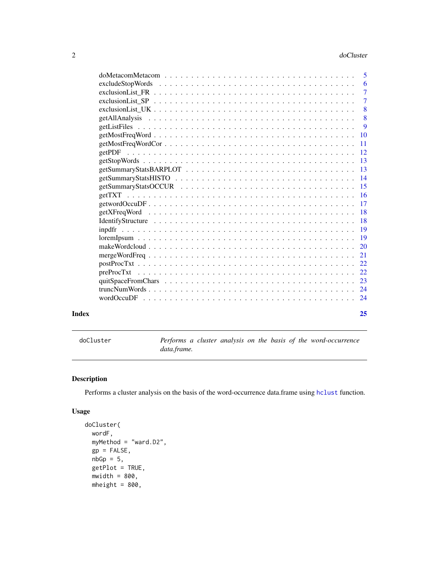<span id="page-1-0"></span>

|       |                                                                                                               | -6             |
|-------|---------------------------------------------------------------------------------------------------------------|----------------|
|       |                                                                                                               | $\overline{7}$ |
|       | exclusionList SP $\ldots \ldots \ldots \ldots \ldots \ldots \ldots \ldots \ldots \ldots \ldots \ldots \ldots$ | $\overline{7}$ |
|       |                                                                                                               | 8              |
|       |                                                                                                               | 8              |
|       |                                                                                                               | 9              |
|       |                                                                                                               |                |
|       |                                                                                                               | -11            |
|       |                                                                                                               |                |
|       |                                                                                                               |                |
|       |                                                                                                               |                |
|       |                                                                                                               |                |
|       |                                                                                                               |                |
|       |                                                                                                               |                |
|       |                                                                                                               |                |
|       |                                                                                                               |                |
|       |                                                                                                               |                |
|       |                                                                                                               |                |
|       |                                                                                                               |                |
|       |                                                                                                               |                |
|       |                                                                                                               |                |
|       |                                                                                                               |                |
|       |                                                                                                               |                |
|       |                                                                                                               |                |
|       |                                                                                                               |                |
|       |                                                                                                               |                |
| Index |                                                                                                               | 25             |

doCluster *Performs a cluster analysis on the basis of the word-occurrence data.frame.*

# Description

Performs a cluster analysis on the basis of the word-occurrence data.frame using [hclust](#page-0-0) function.

```
doCluster(
 wordF,
 myMethod = "ward.D2",
 gp = FALSE,nbGp = 5,
 getPlot = TRUE,
 mwidth = 800,
 mheight = 800,
```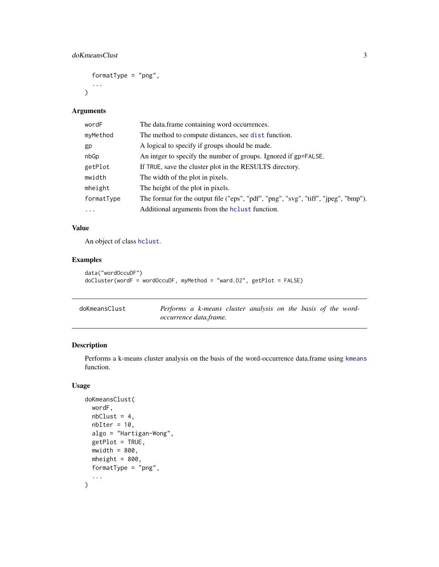```
formatType = "png",
...
```
 $\mathcal{L}$ 

| wordF      | The data.frame containing word occurrences.                                         |
|------------|-------------------------------------------------------------------------------------|
| myMethod   | The method to compute distances, see dist function.                                 |
| gp         | A logical to specify if groups should be made.                                      |
| nbGp       | An intger to specify the number of groups. Ignored if gp=FALSE.                     |
| getPlot    | If TRUE, save the cluster plot in the RESULTS directory.                            |
| mwidth     | The width of the plot in pixels.                                                    |
| mheight    | The height of the plot in pixels.                                                   |
| formatType | The format for the output file ("eps", "pdf", "png", "svg", "tiff", "jpeg", "bmp"). |
| .          | Additional arguments from the holust function.                                      |

# Value

An object of class [hclust](#page-0-0).

# Examples

```
data("wordOccuDF")
doCluster(wordF = wordOccuDF, myMethod = "ward.D2", getPlot = FALSE)
```

| doKmeansClust | Performs a k-means cluster analysis on the basis of the word- |  |  |  |  |  |
|---------------|---------------------------------------------------------------|--|--|--|--|--|
|               | occurrence data.frame.                                        |  |  |  |  |  |

# Description

Performs a k-means cluster analysis on the basis of the word-occurrence data.frame using [kmeans](#page-0-0) function.

```
doKmeansClust(
 wordF,
 nbClust = 4,
 nbIter = 10,algo = "Hartigan-Wong",
  getPlot = TRUE,
 mwidth = 800,mheight = 800,
 formatType = "png",
  ...
\mathcal{L}
```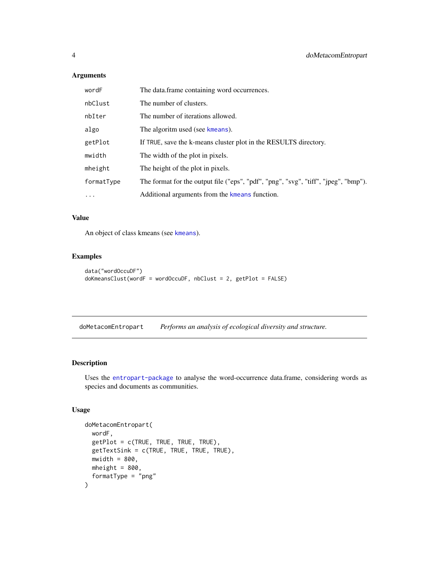<span id="page-3-0"></span>

| wordF      | The data.frame containing word occurrences.                                         |
|------------|-------------------------------------------------------------------------------------|
| nbClust    | The number of clusters.                                                             |
| nbIter     | The number of iterations allowed.                                                   |
| algo       | The algoritm used (see kmeans).                                                     |
| getPlot    | If TRUE, save the k-means cluster plot in the RESULTS directory.                    |
| mwidth     | The width of the plot in pixels.                                                    |
| mheight    | The height of the plot in pixels.                                                   |
| formatType | The format for the output file ("eps", "pdf", "png", "svg", "tiff", "jpeg", "bmp"). |
| $\cdot$    | Additional arguments from the kmeans function.                                      |

#### Value

An object of class kmeans (see [kmeans](#page-0-0)).

#### Examples

```
data("wordOccuDF")
doKmeansClust(wordF = wordOccuDF, nbClust = 2, getPlot = FALSE)
```
doMetacomEntropart *Performs an analysis of ecological diversity and structure.*

#### Description

Uses the [entropart-package](#page-0-0) to analyse the word-occurrence data.frame, considering words as species and documents as communities.

```
doMetacomEntropart(
  wordF,
  getPlot = c(TRUE, TRUE, TRUE, TRUE),
 getTextSink = c(TRUE, TRUE, TRUE, TRUE),
 mwidth = 800,mheight = 800,
  formatType = "png"
\mathcal{L}
```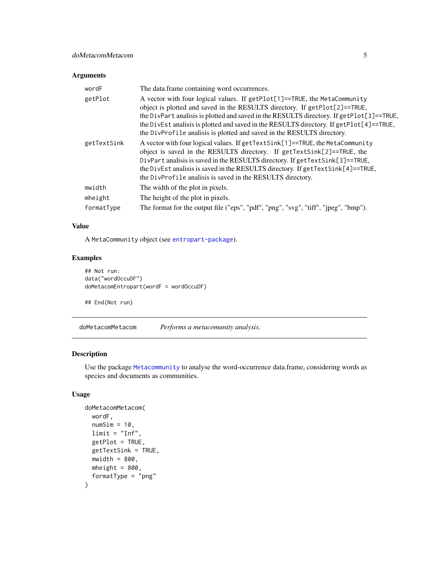<span id="page-4-0"></span>

| wordF       | The data frame containing word occurrences.                                                                                                                                                                                                                                                                                                                                                                              |
|-------------|--------------------------------------------------------------------------------------------------------------------------------------------------------------------------------------------------------------------------------------------------------------------------------------------------------------------------------------------------------------------------------------------------------------------------|
| getPlot     | A vector with four logical values. If getPlot[1]==TRUE, the MetaCommunity<br>object is plotted and saved in the RESULTS directory. If getPlot[2]==TRUE,<br>the DivPart analisis is plotted and saved in the RESULTS directory. If getPlot[3]==TRUE,<br>the DivEst analisis is plotted and saved in the RESULTS directory. If getPlot[4]==TRUE,<br>the DivProfile analisis is plotted and saved in the RESULTS directory. |
| getTextSink | A vector with four logical values. If getTextSink[1]==TRUE, the MetaCommunity<br>object is saved in the RESULTS directory. If getTextSink[2]==TRUE, the<br>DivPart analisis is saved in the RESULTS directory. If $getTextSink[3]=TRUE$ ,<br>the DivEst analisis is saved in the RESULTS directory. If $getTextSink[4] == TRUE$ ,<br>the DivProfile analisis is saved in the RESULTS directory.                          |
| mwidth      | The width of the plot in pixels.                                                                                                                                                                                                                                                                                                                                                                                         |
| mheight     | The height of the plot in pixels.                                                                                                                                                                                                                                                                                                                                                                                        |
| formatType  | The format for the output file ("eps", "pdf", "png", "svg", "tiff", "jpeg", "bmp").                                                                                                                                                                                                                                                                                                                                      |

# Value

A MetaCommunity object (see [entropart-package](#page-0-0)).

# Examples

```
## Not run:
data("wordOccuDF")
doMetacomEntropart(wordF = wordOccuDF)
```
## End(Not run)

doMetacomMetacom *Performs a metacomunity analysis.*

# Description

Use the package [Metacommunity](#page-0-0) to analyse the word-occurrence data.frame, considering words as species and documents as communities.

```
doMetacomMetacom(
 wordF,
  numSim = 10,
  limit = "Inf",getPlot = TRUE,
 getTextSink = TRUE,
 mwidth = 800,mheight = 800,
  formatType = "png"
\mathcal{E}
```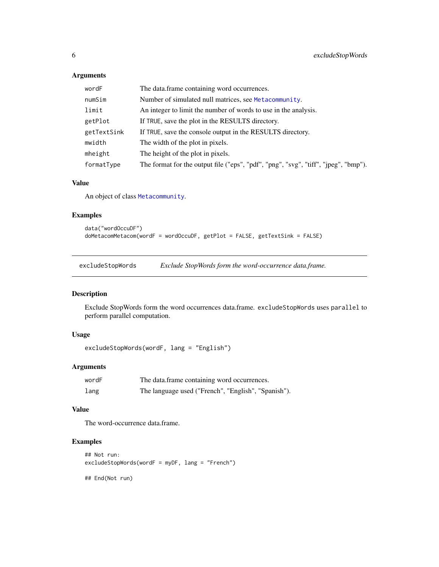<span id="page-5-0"></span>

| wordF       | The data.frame containing word occurrences.                                         |
|-------------|-------------------------------------------------------------------------------------|
| numSim      | Number of simulated null matrices, see Metacommunity.                               |
| limit       | An integer to limit the number of words to use in the analysis.                     |
| getPlot     | If TRUE, save the plot in the RESULTS directory.                                    |
| getTextSink | If TRUE, save the console output in the RESULTS directory.                          |
| mwidth      | The width of the plot in pixels.                                                    |
| mheight     | The height of the plot in pixels.                                                   |
| formatType  | The format for the output file ("eps", "pdf", "png", "svg", "tiff", "jpeg", "bmp"). |

#### Value

An object of class [Metacommunity](#page-0-0).

#### Examples

```
data("wordOccuDF")
doMetacomMetacom(wordF = wordOccuDF, getPlot = FALSE, getTextSink = FALSE)
```
excludeStopWords *Exclude StopWords form the word-occurrence data.frame.*

#### Description

Exclude StopWords form the word occurrences data.frame. excludeStopWords uses parallel to perform parallel computation.

# Usage

```
excludeStopWords(wordF, lang = "English")
```
# Arguments

| wordF | The data frame containing word occurrences.         |
|-------|-----------------------------------------------------|
| lang  | The language used ("French", "English", "Spanish"). |

# Value

The word-occurrence data.frame.

```
## Not run:
excludeStopWords(wordF = myDF, lang = "French")
## End(Not run)
```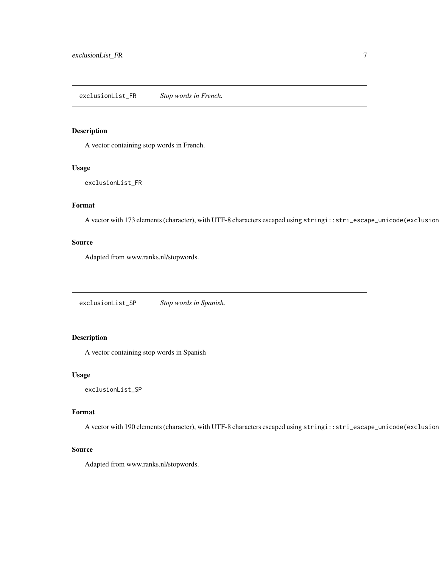<span id="page-6-0"></span>exclusionList\_FR *Stop words in French.*

# Description

A vector containing stop words in French.

#### Usage

exclusionList\_FR

# Format

A vector with 173 elements (character), with UTF-8 characters escaped using stringi::stri\_escape\_unicode(exclusion

#### Source

Adapted from www.ranks.nl/stopwords.

exclusionList\_SP *Stop words in Spanish.*

# Description

A vector containing stop words in Spanish

# Usage

exclusionList\_SP

#### Format

A vector with 190 elements (character), with UTF-8 characters escaped using stringi::stri\_escape\_unicode(exclusion

#### Source

Adapted from www.ranks.nl/stopwords.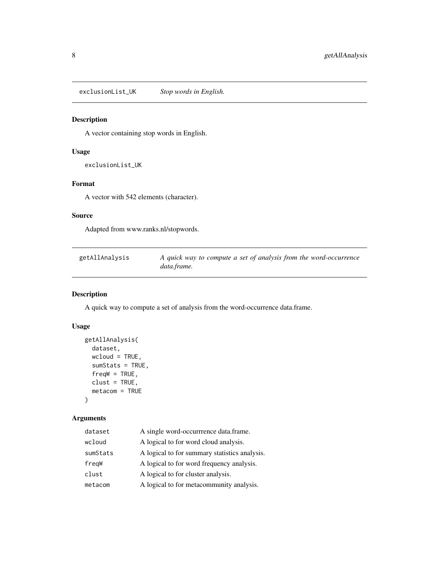<span id="page-7-0"></span>exclusionList\_UK *Stop words in English.*

# Description

A vector containing stop words in English.

# Usage

exclusionList\_UK

#### Format

A vector with 542 elements (character).

#### Source

Adapted from www.ranks.nl/stopwords.

| getAllAnalysis | A quick way to compute a set of analysis from the word-occurrence |
|----------------|-------------------------------------------------------------------|
|                | data.frame.                                                       |

# Description

A quick way to compute a set of analysis from the word-occurrence data.frame.

#### Usage

```
getAllAnalysis(
 dataset,
 wcloud = TRUE,
 sumStats = TRUE,
  freqW = TRUE,clust = TRUE,
 metacom = TRUE
```

```
\mathcal{L}
```
#### Arguments

| dataset  | A single word-occurrrence data.frame.         |
|----------|-----------------------------------------------|
| wcloud   | A logical to for word cloud analysis.         |
| sumStats | A logical to for summary statistics analysis. |
| freqW    | A logical to for word frequency analysis.     |
| clust    | A logical to for cluster analysis.            |
| metacom  | A logical to for metacommunity analysis.      |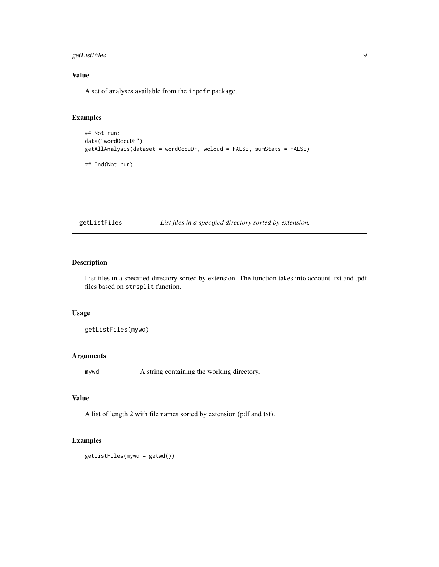# <span id="page-8-0"></span>getListFiles 9

# Value

A set of analyses available from the inpdfr package.

# Examples

```
## Not run:
data("wordOccuDF")
getAllAnalysis(dataset = wordOccuDF, wcloud = FALSE, sumStats = FALSE)
```
## End(Not run)

getListFiles *List files in a specified directory sorted by extension.*

# Description

List files in a specified directory sorted by extension. The function takes into account .txt and .pdf files based on strsplit function.

#### Usage

getListFiles(mywd)

#### Arguments

mywd A string containing the working directory.

# Value

A list of length 2 with file names sorted by extension (pdf and txt).

```
getListFiles(mywd = getwd())
```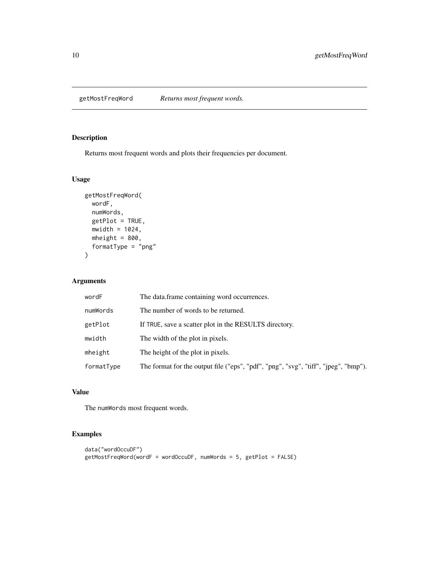<span id="page-9-0"></span>getMostFreqWord *Returns most frequent words.*

# Description

Returns most frequent words and plots their frequencies per document.

#### Usage

```
getMostFreqWord(
 wordF,
 numWords,
 getPlot = TRUE,
 mwidth = 1024,
 mheight = 800,
 formatType = "png"
)
```
#### Arguments

| wordF      | The data.frame containing word occurrences.                                         |
|------------|-------------------------------------------------------------------------------------|
| numWords   | The number of words to be returned.                                                 |
| getPlot    | If TRUE, save a scatter plot in the RESULTS directory.                              |
| mwidth     | The width of the plot in pixels.                                                    |
| mheight    | The height of the plot in pixels.                                                   |
| formatType | The format for the output file ("eps", "pdf", "png", "svg", "tiff", "jpeg", "bmp"). |

# Value

The numWords most frequent words.

```
data("wordOccuDF")
getMostFreqWord(wordF = wordOccuDF, numWords = 5, getPlot = FALSE)
```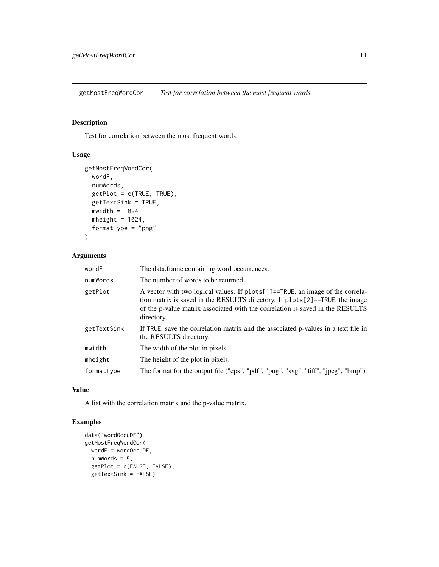<span id="page-10-0"></span>getMostFreqWordCor *Test for correlation between the most frequent words.*

# Description

Test for correlation between the most frequent words.

# Usage

```
getMostFreqWordCor(
 wordF,
  numWords,
  getPlot = c(TRUE, TRUE),
  getTextSink = TRUE,
 mwidth = 1024,
 mheight = 1024,
  formatType = "png"
\mathcal{L}
```
# Arguments

| wordF       | The data.frame containing word occurrences.                                                                                                                                                                                                                    |
|-------------|----------------------------------------------------------------------------------------------------------------------------------------------------------------------------------------------------------------------------------------------------------------|
| numWords    | The number of words to be returned.                                                                                                                                                                                                                            |
| getPlot     | A vector with two logical values. If plots [1] == TRUE, an image of the correla-<br>tion matrix is saved in the RESULTS directory. If plots[2]==TRUE, the image<br>of the p-value matrix associated with the correlation is saved in the RESULTS<br>directory. |
| getTextSink | If TRUE, save the correlation matrix and the associated p-values in a text file in<br>the RESULTS directory.                                                                                                                                                   |
| mwidth      | The width of the plot in pixels.                                                                                                                                                                                                                               |
| mheight     | The height of the plot in pixels.                                                                                                                                                                                                                              |
| formatType  | The format for the output file ("eps", "pdf", "png", "svg", "tiff", "jpeg", "bmp").                                                                                                                                                                            |

#### Value

A list with the correlation matrix and the p-value matrix.

```
data("wordOccuDF")
getMostFreqWordCor(
 wordF = wordOccuDF,
  numWords = 5,
  getPlot = c(FALSE, FALSE),
  getTextSink = FALSE)
```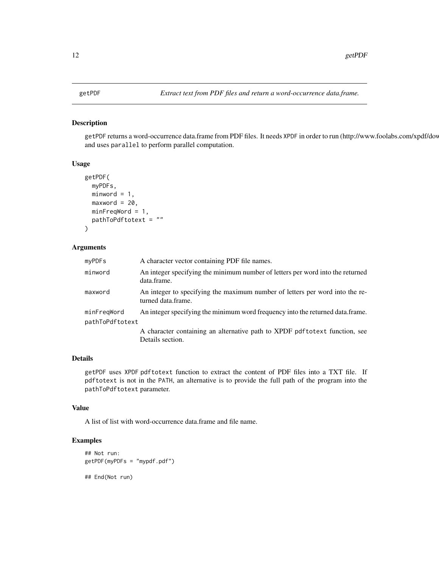<span id="page-11-0"></span>getPDF returns a word-occurrence data.frame from PDF files. It needs XPDF in order to run (http://www.foolabs.com/xpdf/dov and uses parallel to perform parallel computation.

#### Usage

```
getPDF(
  myPDFs,
  minword = 1,
  maxword = 20,
  minFreqWord = 1,pathToPdftotext = ""
\mathcal{L}
```
# Arguments

| myPDFs                         | A character vector containing PDF file names.                                                      |
|--------------------------------|----------------------------------------------------------------------------------------------------|
| minword                        | An integer specifying the minimum number of letters per word into the returned<br>data.frame.      |
| maxword                        | An integer to specifying the maximum number of letters per word into the re-<br>turned data frame. |
| minFreqWord<br>pathToPdftotext | An integer specifying the minimum word frequency into the returned data.frame.                     |
|                                | A character containing an alternative path to XPDF pdf to text function, see<br>Details section.   |

# Details

getPDF uses XPDF pdftotext function to extract the content of PDF files into a TXT file. If pdftotext is not in the PATH, an alternative is to provide the full path of the program into the pathToPdftotext parameter.

#### Value

A list of list with word-occurrence data.frame and file name.

```
## Not run:
getPDF(myPDFs = "mypdf.pdf")
## End(Not run)
```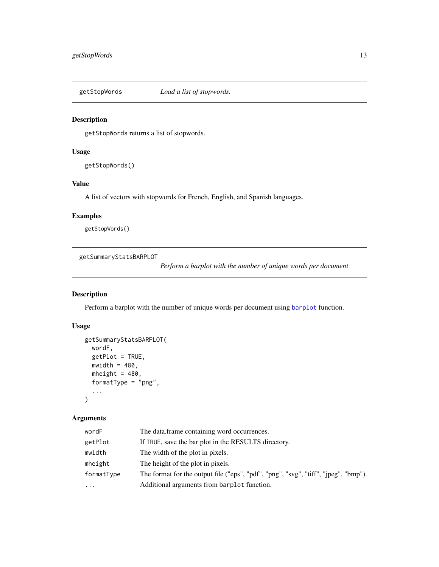<span id="page-12-0"></span>

getStopWords returns a list of stopwords.

#### Usage

getStopWords()

#### Value

A list of vectors with stopwords for French, English, and Spanish languages.

# Examples

getStopWords()

getSummaryStatsBARPLOT

*Perform a barplot with the number of unique words per document*

#### Description

Perform a barplot with the number of unique words per document using [barplot](#page-0-0) function.

#### Usage

```
getSummaryStatsBARPLOT(
  wordF,
  getPlot = TRUE,
  mwidth = 480,mheight = 480,
  formatType = "png",
  ...
\mathcal{L}
```
#### Arguments

| wordF      | The data frame containing word occurrences.                                         |
|------------|-------------------------------------------------------------------------------------|
| getPlot    | If TRUE, save the bar plot in the RESULTS directory.                                |
| mwidth     | The width of the plot in pixels.                                                    |
| mheight    | The height of the plot in pixels.                                                   |
| formatType | The format for the output file ("eps", "pdf", "png", "svg", "tiff", "jpeg", "bmp"). |
| $\cdots$   | Additional arguments from barplot function.                                         |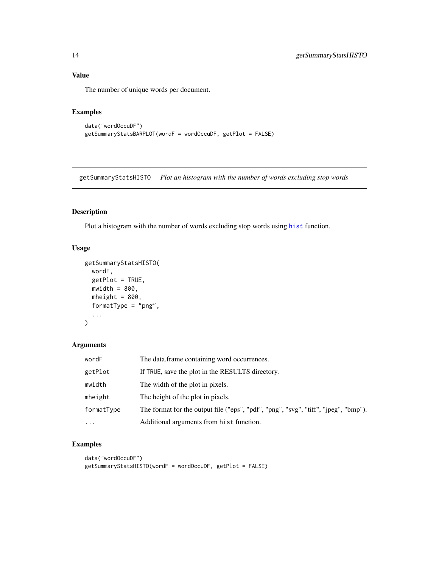# Value

The number of unique words per document.

#### Examples

```
data("wordOccuDF")
getSummaryStatsBARPLOT(wordF = wordOccuDF, getPlot = FALSE)
```
getSummaryStatsHISTO *Plot an histogram with the number of words excluding stop words*

# Description

Plot a histogram with the number of words excluding stop words using [hist](#page-0-0) function.

# Usage

```
getSummaryStatsHISTO(
  wordF,
  getPlot = TRUE,
  mwidth = 800,
  mheight = 800,
  formatType = "png",...
\mathcal{L}
```
# Arguments

| wordF      | The data frame containing word occurrences.                                         |
|------------|-------------------------------------------------------------------------------------|
| getPlot    | If TRUE, save the plot in the RESULTS directory.                                    |
| mwidth     | The width of the plot in pixels.                                                    |
| mheight    | The height of the plot in pixels.                                                   |
| formatType | The format for the output file ("eps", "pdf", "png", "svg", "tiff", "jpeg", "bmp"). |
| $\cdots$   | Additional arguments from hist function.                                            |

```
data("wordOccuDF")
getSummaryStatsHISTO(wordF = wordOccuDF, getPlot = FALSE)
```
<span id="page-13-0"></span>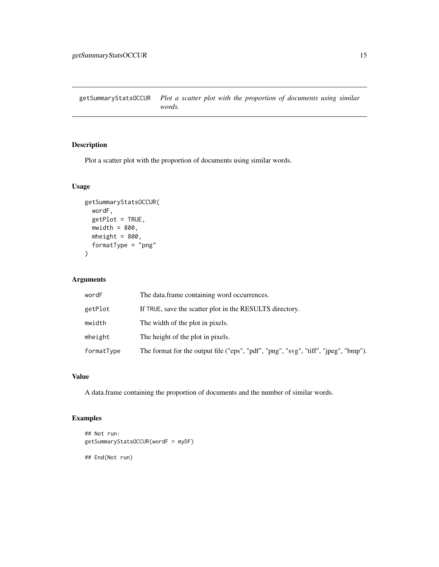<span id="page-14-0"></span>getSummaryStatsOCCUR *Plot a scatter plot with the proportion of documents using similar words.*

# Description

Plot a scatter plot with the proportion of documents using similar words.

# Usage

```
getSummaryStatsOCCUR(
 wordF,
 getPlot = TRUE,
 mwidth = 800,mheight = 800,
 formatType = "png"\mathcal{L}
```
# Arguments

| wordF      | The data frame containing word occurrences.                                         |
|------------|-------------------------------------------------------------------------------------|
| getPlot    | If TRUE, save the scatter plot in the RESULTS directory.                            |
| mwidth     | The width of the plot in pixels.                                                    |
| mheight    | The height of the plot in pixels.                                                   |
| formatType | The format for the output file ("eps", "pdf", "png", "svg", "tiff", "jpeg", "bmp"). |

#### Value

A data.frame containing the proportion of documents and the number of similar words.

# Examples

```
## Not run:
getSummaryStatsOCCUR(wordF = myDF)
```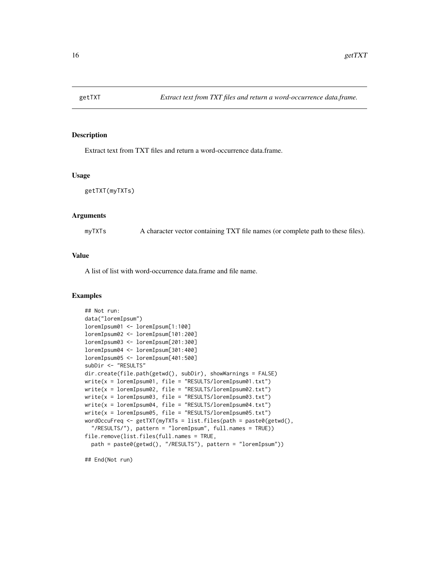<span id="page-15-0"></span>

Extract text from TXT files and return a word-occurrence data.frame.

#### Usage

getTXT(myTXTs)

#### Arguments

myTXTs A character vector containing TXT file names (or complete path to these files).

#### Value

A list of list with word-occurrence data.frame and file name.

#### Examples

```
## Not run:
data("loremIpsum")
loremIpsum01 <- loremIpsum[1:100]
loremIpsum02 <- loremIpsum[101:200]
loremIpsum03 <- loremIpsum[201:300]
loremIpsum04 <- loremIpsum[301:400]
loremIpsum05 <- loremIpsum[401:500]
subDir <- "RESULTS"
dir.create(file.path(getwd(), subDir), showWarnings = FALSE)
write(x = loremIpsum01, file = "RESULTS/loremIpsum01.txt")
write(x = loremIpsum02, file = "RESULTS/loremIpsum02.txt")
write(x = loremIpsum03, file = "RESULTS/loremIpsum03.txt")
write(x = loremIpsum04, file = "RESULTS/loremIpsum04.txt")
write(x = loremIpsum05, file = "RESULTS/loremIpsum05.txt")
wordOccuFreq <- getTXT(myTXTs = list.files(path = paste0(getwd(),
  "/RESULTS/"), pattern = "loremIpsum", full.names = TRUE))
file.remove(list.files(full.names = TRUE,
 path = paste0(getwd(), "/RESULTS"), pattern = "loremIpsum"))
```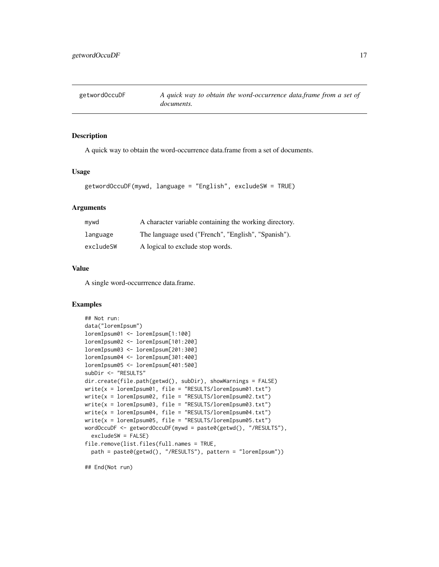<span id="page-16-0"></span>getwordOccuDF *A quick way to obtain the word-occurrence data.frame from a set of documents.*

#### **Description**

A quick way to obtain the word-occurrence data.frame from a set of documents.

#### Usage

```
getwordOccuDF(mywd, language = "English", excludeSW = TRUE)
```
#### Arguments

| mvwd      | A character variable containing the working directory. |
|-----------|--------------------------------------------------------|
| language  | The language used ("French", "English", "Spanish").    |
| excludeSW | A logical to exclude stop words.                       |

#### Value

A single word-occurrrence data.frame.

#### Examples

```
## Not run:
data("loremIpsum")
loremIpsum01 <- loremIpsum[1:100]
loremIpsum02 <- loremIpsum[101:200]
loremIpsum03 <- loremIpsum[201:300]
loremIpsum04 <- loremIpsum[301:400]
loremIpsum05 <- loremIpsum[401:500]
subDir <- "RESULTS"
dir.create(file.path(getwd(), subDir), showWarnings = FALSE)
write(x = loremIpsum01, file = "RESULTS/loremIpsum01.txt")
write(x = loremIpsum02, file = "RESULTS/loremIpsum02.txt")
write(x = loremIpsum03, file = "RESULTS/loremIpsum03.txt")
write(x = loremIpsum04, file = "RESULTS/loremIpsum04.txt")
write(x = loremIpsum05, file = "RESULTS/loremIpsum05.txt")
wordOccuDF <- getwordOccuDF(mywd = paste0(getwd(), "/RESULTS"),
  excludeSW = FALSE)
file.remove(list.files(full.names = TRUE,
  path = paste0(getwd(), "/RESULTS"), pattern = "loremIpsum"))
```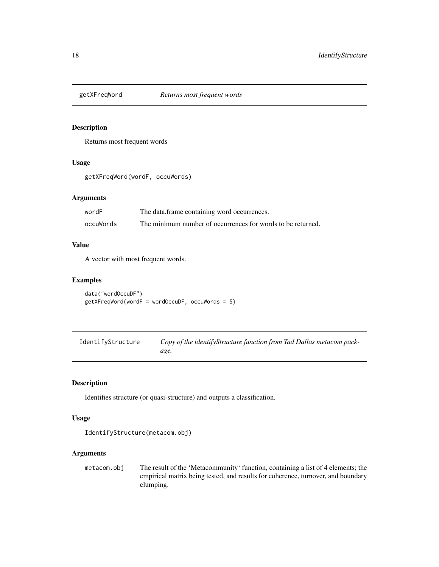<span id="page-17-0"></span>

Returns most frequent words

#### Usage

getXFreqWord(wordF, occuWords)

#### Arguments

| wordF     | The data frame containing word occurrences.                 |
|-----------|-------------------------------------------------------------|
| occuWords | The minimum number of occurrences for words to be returned. |

#### Value

A vector with most frequent words.

#### Examples

```
data("wordOccuDF")
getXFreqWord(wordF = wordOccuDF, occuWords = 5)
```
IdentifyStructure *Copy of the identifyStructure function from Tad Dallas metacom package.*

# Description

Identifies structure (or quasi-structure) and outputs a classification.

#### Usage

```
IdentifyStructure(metacom.obj)
```
#### Arguments

metacom.obj The result of the 'Metacommunity' function, containing a list of 4 elements; the empirical matrix being tested, and results for coherence, turnover, and boundary clumping.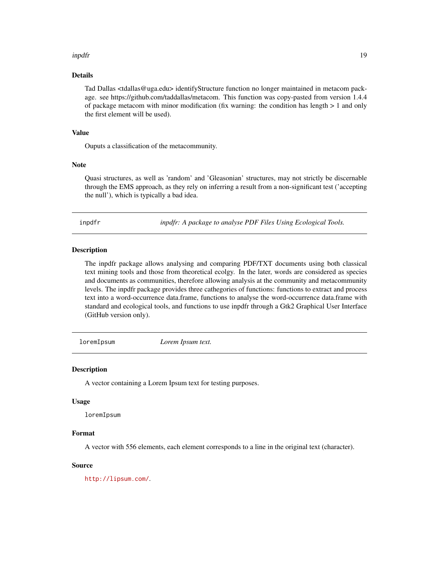#### <span id="page-18-0"></span>inpdfr the contract of the contract of the contract of the contract of the contract of the contract of the contract of the contract of the contract of the contract of the contract of the contract of the contract of the con

#### Details

Tad Dallas <tdallas@uga.edu> identifyStructure function no longer maintained in metacom package. see https://github.com/taddallas/metacom. This function was copy-pasted from version 1.4.4 of package metacom with minor modification (fix warning: the condition has length > 1 and only the first element will be used).

#### Value

Ouputs a classification of the metacommunity.

#### Note

Quasi structures, as well as 'random' and 'Gleasonian' structures, may not strictly be discernable through the EMS approach, as they rely on inferring a result from a non-significant test ('accepting the null'), which is typically a bad idea.

inpdfr *inpdfr: A package to analyse PDF Files Using Ecological Tools.*

#### Description

The inpdfr package allows analysing and comparing PDF/TXT documents using both classical text mining tools and those from theoretical ecolgy. In the later, words are considered as species and documents as communities, therefore allowing analysis at the community and metacommunity levels. The inpdfr package provides three cathegories of functions: functions to extract and process text into a word-occurrence data.frame, functions to analyse the word-occurrence data.frame with standard and ecological tools, and functions to use inpdfr through a Gtk2 Graphical User Interface (GitHub version only).

loremIpsum *Lorem Ipsum text.*

#### Description

A vector containing a Lorem Ipsum text for testing purposes.

#### Usage

loremIpsum

#### Format

A vector with 556 elements, each element corresponds to a line in the original text (character).

#### Source

<http://lipsum.com/>.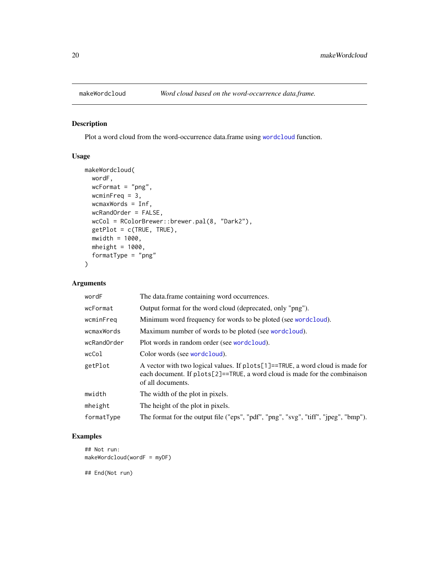<span id="page-19-0"></span>

Plot a word cloud from the word-occurrence data.frame using [wordcloud](#page-0-0) function.

# Usage

```
makeWordcloud(
 wordF,
 wcFormat = "png",wcminFreq = 3,
 wcmaxWords = Inf,
 wcRandOrder = FALSE,
 wcCol = RColorBrewer::brewer.pal(8, "Dark2"),
 getPlot = c(TRUE, TRUE),
 mwidth = 1000,mheight = 1000,formatType = "png"
\mathcal{L}
```
# Arguments

| wordF       | The data.frame containing word occurrences.                                                                                                                                             |  |
|-------------|-----------------------------------------------------------------------------------------------------------------------------------------------------------------------------------------|--|
| wcFormat    | Output format for the word cloud (deprecated, only "png").                                                                                                                              |  |
| wcminFreq   | Minimum word frequency for words to be ploted (see wordcloud).                                                                                                                          |  |
| wcmaxWords  | Maximum number of words to be ploted (see wordcloud).                                                                                                                                   |  |
| wcRandOrder | Plot words in random order (see wordcloud).                                                                                                                                             |  |
| wcCol       | Color words (see wordcloud).                                                                                                                                                            |  |
| getPlot     | A vector with two logical values. If $plots[1] == TRUE$ , a word cloud is made for<br>each document. If $plots[2]=TRUE$ , a word cloud is made for the combination<br>of all documents. |  |
| mwidth      | The width of the plot in pixels.                                                                                                                                                        |  |
| mheight     | The height of the plot in pixels.                                                                                                                                                       |  |
| formatType  | The format for the output file ("eps", "pdf", "png", "svg", "tiff", "jpeg", "bmp").                                                                                                     |  |

# Examples

```
## Not run:
makeWordcloud(wordF = myDF)
```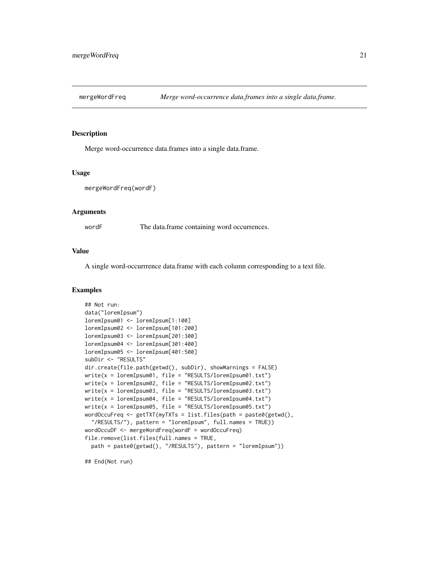<span id="page-20-0"></span>

Merge word-occurrence data.frames into a single data.frame.

#### Usage

mergeWordFreq(wordF)

#### Arguments

wordF The data.frame containing word occurrences.

#### Value

A single word-occurrrence data.frame with each column corresponding to a text file.

#### Examples

```
## Not run:
data("loremIpsum")
loremIpsum01 <- loremIpsum[1:100]
loremIpsum02 <- loremIpsum[101:200]
loremIpsum03 <- loremIpsum[201:300]
loremIpsum04 <- loremIpsum[301:400]
loremIpsum05 <- loremIpsum[401:500]
subDir <- "RESULTS"
dir.create(file.path(getwd(), subDir), showWarnings = FALSE)
write(x = loremIpsum01, file = "RESULTS/loremIpsum01.txt")
write(x = loremIpsum02, file = "RESULTS/loremIpsum02.txt")write(x = loremIpsum03, file = "RESULTS/loremIpsum03.txt")write(x = loremIpsum04, file = "RESULTS/loremIpsum04.txt")write(x = loremIpsum05, file = "RESULTS/loremIpsum05.txt")wordOccuFreq <- getTXT(myTXTs = list.files(path = paste0(getwd(),
  "/RESULTS/"), pattern = "loremIpsum", full.names = TRUE))
wordOccuDF <- mergeWordFreq(wordF = wordOccuFreq)
file.remove(list.files(full.names = TRUE,
  path = paste0(getwd(), "/RESULTS"), pattern = "loremIpsum"))
```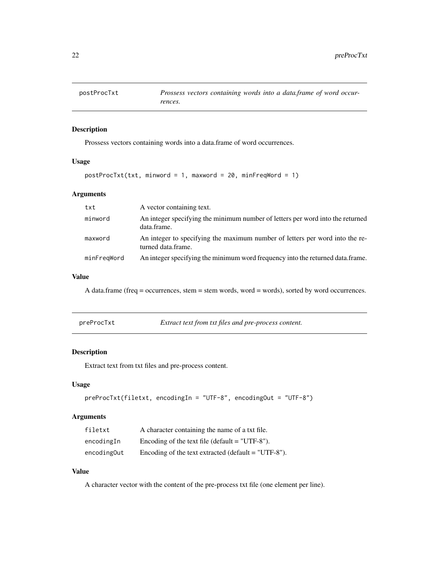<span id="page-21-0"></span>

Prossess vectors containing words into a data.frame of word occurrences.

#### Usage

```
postProcTxt(txt, minword = 1, maxword = 20, minFreqWord = 1)
```
#### Arguments

| txt         | A vector containing text.                                                                          |
|-------------|----------------------------------------------------------------------------------------------------|
| minword     | An integer specifying the minimum number of letters per word into the returned<br>data.frame.      |
| maxword     | An integer to specifying the maximum number of letters per word into the re-<br>turned data.frame. |
| minFreqWord | An integer specifying the minimum word frequency into the returned data.frame.                     |

# Value

A data.frame (freq = occurrences, stem = stem words, word = words), sorted by word occurrences.

#### Description

Extract text from txt files and pre-process content.

# Usage

```
preProcTxt(filetxt, encodingIn = "UTF-8", encodingOut = "UTF-8")
```
# Arguments

| filetxt     | A character containing the name of a txt file.        |
|-------------|-------------------------------------------------------|
| encodingIn  | Encoding of the text file (default $=$ "UTF-8").      |
| encoding0ut | Encoding of the text extracted (default $=$ "UTF-8"). |

# Value

A character vector with the content of the pre-process txt file (one element per line).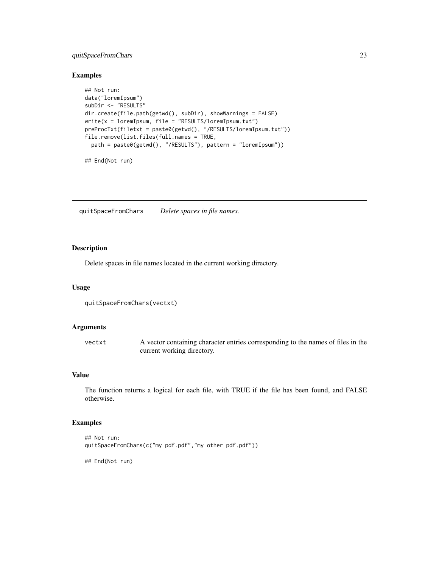# <span id="page-22-0"></span>quitSpaceFromChars 23

#### Examples

```
## Not run:
data("loremIpsum")
subDir <- "RESULTS"
dir.create(file.path(getwd(), subDir), showWarnings = FALSE)
write(x = loremIpsum, file = "RESULTS/loremIpsum.txt")
preProcTxt(filetxt = paste0(getwd(), "/RESULTS/loremIpsum.txt"))
file.remove(list.files(full.names = TRUE,
  path = paste0(getwd(), "/RESULTS"), pattern = "loremIpsum"))
```

```
## End(Not run)
```
quitSpaceFromChars *Delete spaces in file names.*

# Description

Delete spaces in file names located in the current working directory.

#### Usage

```
quitSpaceFromChars(vectxt)
```
#### Arguments

| vectxt | A vector containing character entries corresponding to the names of files in the |
|--------|----------------------------------------------------------------------------------|
|        | current working directory.                                                       |

# Value

The function returns a logical for each file, with TRUE if the file has been found, and FALSE otherwise.

# Examples

```
## Not run:
quitSpaceFromChars(c("my pdf.pdf","my other pdf.pdf"))
```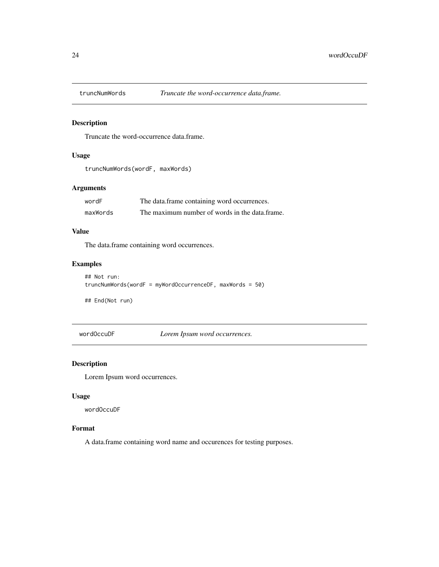<span id="page-23-0"></span>

Truncate the word-occurrence data.frame.

# Usage

```
truncNumWords(wordF, maxWords)
```
# Arguments

| wordF    | The data.frame containing word occurrences.    |
|----------|------------------------------------------------|
| maxWords | The maximum number of words in the data.frame. |

# Value

The data.frame containing word occurrences.

# Examples

```
## Not run:
truncNumWords(wordF = myWordOccurrenceDF, maxWords = 50)
```
## End(Not run)

wordOccuDF *Lorem Ipsum word occurrences.*

# Description

Lorem Ipsum word occurrences.

#### Usage

wordOccuDF

# Format

A data.frame containing word name and occurences for testing purposes.